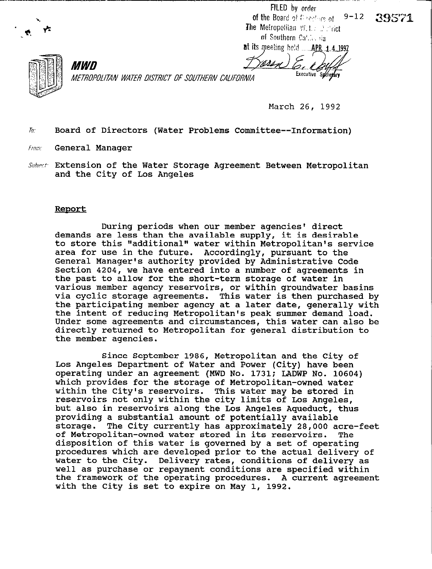FILED by order  $9 - 12$ of the Board of Directors of

39571



at its meeting held **APR 1 4 1992** 



*MWD* METROPOLITAN WATER DISTRICT OF SOUTHERN CALIFORNIA

March 26, 1992

Executive Secretary

 $\bar{b}$ . Board of Directors (Water Problems Committee--Information)

From: General Manager

Subject: Extension of the Water Storage Agreement Between Metropolitan and the City of Los Angeles

## Report

During periods when our member agencies' direct demands are less than the available supply, it is desirable to store this "additional" water within Metropolitan's service area for use in the future. Accordingly, pursuant to the General Manager's authority provided by Administrative Code Section 4204, we have entered into a number of agreements in the past to allow for the short-term storage of water in various member agency reservoirs, or within groundwater basins via cyclic storage agreements. This water is then purchased by the participating member agency at a later date, generally with the intent of reducing Metropolitan's peak summer demand load. Under some agreements and circumstances, this water can also be directly returned to Metropolitan for general distribution to the member agencies.

Since September 1986, Metropolitan and the City of Los Angeles Department of Water and Power (City) have been operating under an agreement (MWD No. 1731; LADWP No. 10604) which provides for the storage of Metropolitan-owned water within the City's reservoirs. This water may be stored in reservoirs not only within the city limits of Los Angeles, but also in reservoirs along the Los Angeles Aqueduct, thus providing a substantial amount of potentially available storage. The City currently has approximately 28,000 acre-feet of Metropolitan-owned water stored in its reservoirs. The disposition of this water is governed by a set of operating procedures which are developed prior to the actual delivery of water to the City. Delivery rates, conditions of delivery as well as purchase or repayment conditions are specified within the framework of the operating procedures. A current agreement with the City is set to expire on May 1, 1992.